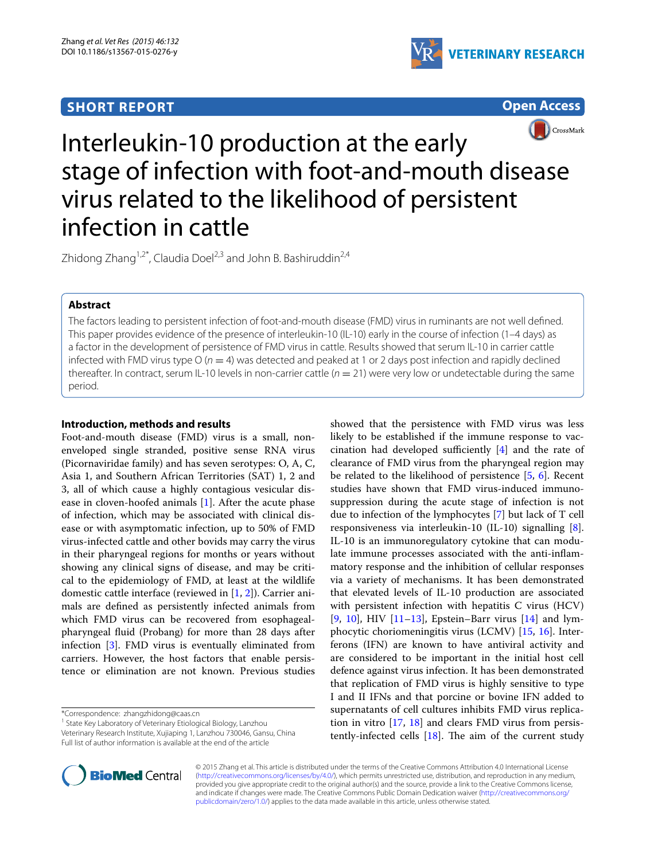## **SHORT REPORT**



**Open Access**



# Interleukin-10 production at the early stage of infection with foot-and-mouth disease virus related to the likelihood of persistent infection in cattle

Zhidong Zhang<sup>1,2\*</sup>, Claudia Doel<sup>2,3</sup> and John B. Bashiruddin<sup>2,4</sup>

## **Abstract**

The factors leading to persistent infection of foot-and-mouth disease (FMD) virus in ruminants are not well defined. This paper provides evidence of the presence of interleukin-10 (IL-10) early in the course of infection (1–4 days) as a factor in the development of persistence of FMD virus in cattle. Results showed that serum IL-10 in carrier cattle infected with FMD virus type  $O(n = 4)$  was detected and peaked at 1 or 2 days post infection and rapidly declined thereafter. In contract, serum IL-10 levels in non-carrier cattle (*n* = 21) were very low or undetectable during the same period.

## **Introduction, methods and results**

Foot-and-mouth disease (FMD) virus is a small, nonenveloped single stranded, positive sense RNA virus (Picornaviridae family) and has seven serotypes: O, A, C, Asia 1, and Southern African Territories (SAT) 1, 2 and 3, all of which cause a highly contagious vesicular disease in cloven-hoofed animals [[1\]](#page-3-0). After the acute phase of infection, which may be associated with clinical disease or with asymptomatic infection, up to 50% of FMD virus-infected cattle and other bovids may carry the virus in their pharyngeal regions for months or years without showing any clinical signs of disease, and may be critical to the epidemiology of FMD, at least at the wildlife domestic cattle interface (reviewed in [\[1](#page-3-0), [2\]](#page-3-1)). Carrier animals are defined as persistently infected animals from which FMD virus can be recovered from esophagealpharyngeal fluid (Probang) for more than 28 days after infection [[3\]](#page-3-2). FMD virus is eventually eliminated from carriers. However, the host factors that enable persistence or elimination are not known. Previous studies

\*Correspondence: zhangzhidong@caas.cn

<sup>1</sup> State Key Laboratory of Veterinary Etiological Biology, Lanzhou Veterinary Research Institute, Xujiaping 1, Lanzhou 730046, Gansu, China Full list of author information is available at the end of the article

showed that the persistence with FMD virus was less likely to be established if the immune response to vaccination had developed sufficiently [[4](#page-3-3)] and the rate of clearance of FMD virus from the pharyngeal region may be related to the likelihood of persistence  $[5, 6]$  $[5, 6]$  $[5, 6]$ . Recent studies have shown that FMD virus-induced immunosuppression during the acute stage of infection is not due to infection of the lymphocytes [[7\]](#page-3-6) but lack of T cell responsiveness via interleukin-10 (IL-10) signalling [\[8](#page-3-7)]. IL-10 is an immunoregulatory cytokine that can modulate immune processes associated with the anti-inflammatory response and the inhibition of cellular responses via a variety of mechanisms. It has been demonstrated that elevated levels of IL-10 production are associated with persistent infection with hepatitis C virus (HCV) [[9,](#page-3-8) [10\]](#page-3-9), HIV  $[11-13]$  $[11-13]$ , Epstein–Barr virus  $[14]$  $[14]$  $[14]$  and lymphocytic choriomeningitis virus (LCMV) [\[15](#page-4-1), [16\]](#page-4-2). Interferons (IFN) are known to have antiviral activity and are considered to be important in the initial host cell defence against virus infection. It has been demonstrated that replication of FMD virus is highly sensitive to type I and II IFNs and that porcine or bovine IFN added to supernatants of cell cultures inhibits FMD virus replication in vitro [[17,](#page-4-3) [18](#page-4-4)] and clears FMD virus from persistently-infected cells  $[18]$ . The aim of the current study



© 2015 Zhang et al. This article is distributed under the terms of the Creative Commons Attribution 4.0 International License [\(http://creativecommons.org/licenses/by/4.0/\)](http://creativecommons.org/licenses/by/4.0/), which permits unrestricted use, distribution, and reproduction in any medium, provided you give appropriate credit to the original author(s) and the source, provide a link to the Creative Commons license, and indicate if changes were made. The Creative Commons Public Domain Dedication waiver ([http://creativecommons.org/](http://creativecommons.org/publicdomain/zero/1.0/) [publicdomain/zero/1.0/](http://creativecommons.org/publicdomain/zero/1.0/)) applies to the data made available in this article, unless otherwise stated.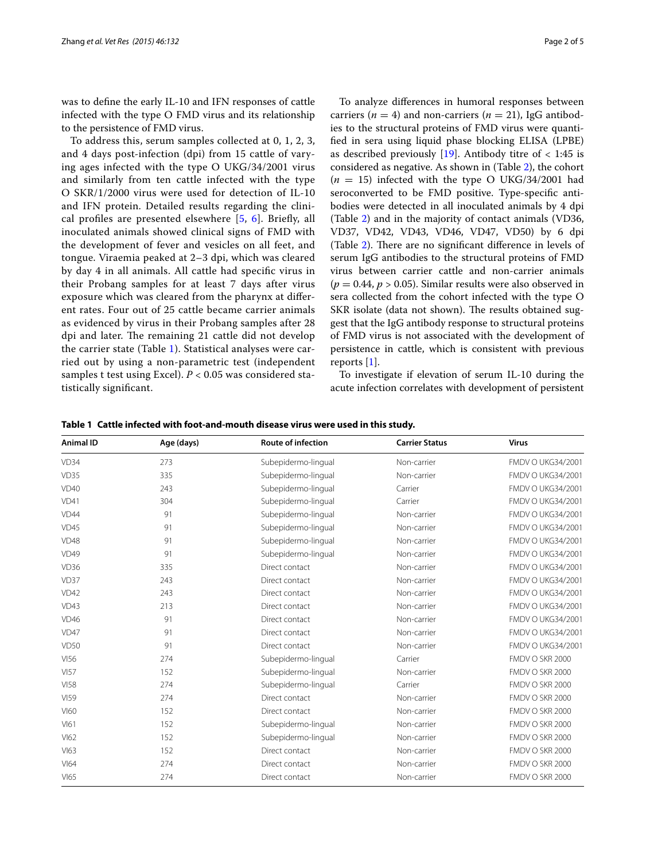was to define the early IL-10 and IFN responses of cattle infected with the type O FMD virus and its relationship to the persistence of FMD virus.

To address this, serum samples collected at 0, 1, 2, 3, and 4 days post-infection (dpi) from 15 cattle of varying ages infected with the type O UKG/34/2001 virus and similarly from ten cattle infected with the type O SKR/1/2000 virus were used for detection of IL-10 and IFN protein. Detailed results regarding the clinical profiles are presented elsewhere [[5,](#page-3-4) [6](#page-3-5)]. Briefly, all inoculated animals showed clinical signs of FMD with the development of fever and vesicles on all feet, and tongue. Viraemia peaked at 2–3 dpi, which was cleared by day 4 in all animals. All cattle had specific virus in their Probang samples for at least 7 days after virus exposure which was cleared from the pharynx at different rates. Four out of 25 cattle became carrier animals as evidenced by virus in their Probang samples after 28 dpi and later. The remaining 21 cattle did not develop the carrier state (Table [1](#page-1-0)). Statistical analyses were carried out by using a non-parametric test (independent samples t test using Excel). *P* < 0.05 was considered statistically significant.

To analyze differences in humoral responses between carriers ( $n = 4$ ) and non-carriers ( $n = 21$ ), IgG antibodies to the structural proteins of FMD virus were quantified in sera using liquid phase blocking ELISA (LPBE) as described previously  $[19]$ . Antibody titre of  $\langle 1:45 \rangle$  is considered as negative. As shown in (Table [2\)](#page-2-0), the cohort  $(n = 15)$  infected with the type O UKG/34/2001 had seroconverted to be FMD positive. Type-specific antibodies were detected in all inoculated animals by 4 dpi (Table [2\)](#page-2-0) and in the majority of contact animals (VD36, VD37, VD42, VD43, VD46, VD47, VD50) by 6 dpi (Table [2\)](#page-2-0). There are no significant difference in levels of serum IgG antibodies to the structural proteins of FMD virus between carrier cattle and non-carrier animals  $(p = 0.44, p > 0.05)$ . Similar results were also observed in sera collected from the cohort infected with the type O SKR isolate (data not shown). The results obtained suggest that the IgG antibody response to structural proteins of FMD virus is not associated with the development of persistence in cattle, which is consistent with previous reports [\[1\]](#page-3-0).

To investigate if elevation of serum IL-10 during the acute infection correlates with development of persistent

| <b>Animal ID</b> | Age (days) | <b>Route of infection</b> | <b>Carrier Status</b> | <b>Virus</b>             |  |  |
|------------------|------------|---------------------------|-----------------------|--------------------------|--|--|
| VD34             | 273        | Subepidermo-lingual       | Non-carrier           | FMDV O UKG34/2001        |  |  |
| VD35             | 335        | Subepidermo-lingual       | Non-carrier           | FMDV O UKG34/2001        |  |  |
| <b>VD40</b>      | 243        | Subepidermo-lingual       | Carrier               | FMDV O UKG34/2001        |  |  |
| VD41             | 304        | Subepidermo-lingual       | Carrier               | FMDV O UKG34/2001        |  |  |
| VD44             | 91         | Subepidermo-lingual       | Non-carrier           | FMDV O UKG34/2001        |  |  |
| VD45             | 91         | Subepidermo-lingual       | Non-carrier           | FMDV O UKG34/2001        |  |  |
| VD48             | 91         | Subepidermo-lingual       | Non-carrier           | FMDV O UKG34/2001        |  |  |
| VD49             | 91         | Subepidermo-lingual       | Non-carrier           | FMDV O UKG34/2001        |  |  |
| VD36             | 335        | Direct contact            | Non-carrier           | FMDV O UKG34/2001        |  |  |
| VD37             | 243        | Direct contact            | Non-carrier           | FMDV O UKG34/2001        |  |  |
| <b>VD42</b>      | 243        | Direct contact            | Non-carrier           | <b>FMDV O UKG34/2001</b> |  |  |
| VD43             | 213        | Direct contact            | Non-carrier           | FMDV O UKG34/2001        |  |  |
| VD46             | 91         | Direct contact            | Non-carrier           | FMDV O UKG34/2001        |  |  |
| VD47             | 91         | Direct contact            | Non-carrier           | FMDV O UKG34/2001        |  |  |
| VD50             | 91         | Direct contact            | Non-carrier           | FMDV O UKG34/2001        |  |  |
| <b>VI56</b>      | 274        | Subepidermo-lingual       | Carrier               | FMDV O SKR 2000          |  |  |
| <b>VI57</b>      | 152        | Subepidermo-lingual       | Non-carrier           | FMDV O SKR 2000          |  |  |
| <b>VI58</b>      | 274        | Subepidermo-lingual       | Carrier               | FMDV O SKR 2000          |  |  |
| <b>VI59</b>      | 274        | Direct contact            | Non-carrier           | FMDV O SKR 2000          |  |  |
| <b>VI60</b>      | 152        | Direct contact            | Non-carrier           | FMDV O SKR 2000          |  |  |
| V161             | 152        | Subepidermo-lingual       | Non-carrier           | FMDV O SKR 2000          |  |  |
| V162             | 152        | Subepidermo-lingual       | Non-carrier           | FMDV O SKR 2000          |  |  |
| V163             | 152        | Direct contact            | Non-carrier           | FMDV O SKR 2000          |  |  |
| $V$ 64           | 274        | Direct contact            | Non-carrier           | FMDV O SKR 2000          |  |  |
| V165             | 274        | Direct contact            | Non-carrier           | FMDV O SKR 2000          |  |  |

<span id="page-1-0"></span>**Table 1 Cattle infected with foot-and-mouth disease virus were used in this study.**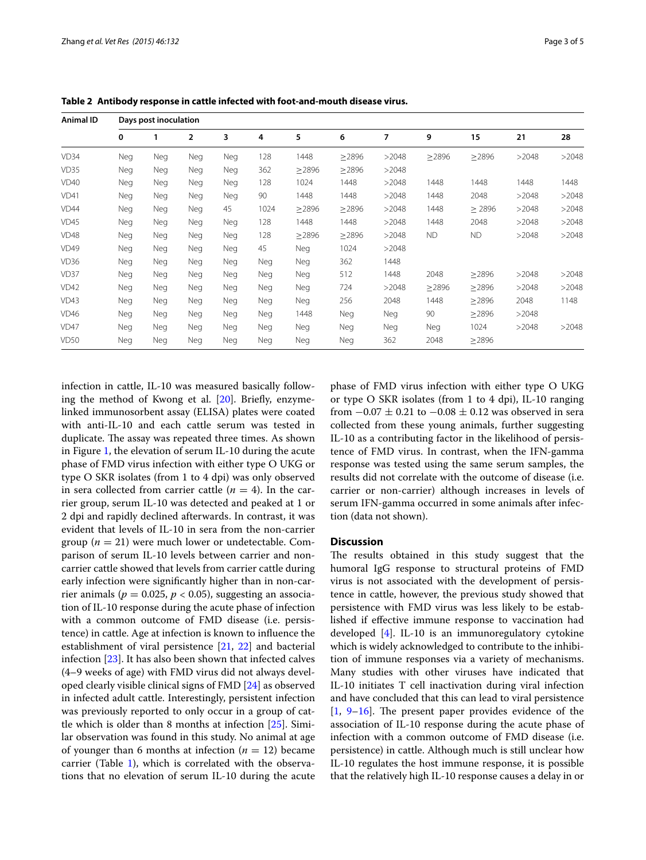| Animal ID   | Days post inoculation |            |                |            |      |             |             |       |             |             |       |       |
|-------------|-----------------------|------------|----------------|------------|------|-------------|-------------|-------|-------------|-------------|-------|-------|
|             | 0                     | 1          | $\overline{2}$ | 3          | 4    | 5           | 6           | 7     | 9           | 15          | 21    | 28    |
| VD34        | Neg                   | Neg        | Neg            | <b>Neg</b> | 128  | 1448        | $\geq$ 2896 | >2048 | $\geq$ 2896 | $\geq$ 2896 | >2048 | >2048 |
| VD35        | Neg                   | Neg        | Neg            | Neg        | 362  | $\geq$ 2896 | >2896       | >2048 |             |             |       |       |
| <b>VD40</b> | Neg                   | Neg        | Neg            | Neg        | 128  | 1024        | 1448        | >2048 | 1448        | 1448        | 1448  | 1448  |
| VD41        | Neg                   | <b>Neg</b> | Neg            | Neg        | 90   | 1448        | 1448        | >2048 | 1448        | 2048        | >2048 | >2048 |
| VD44        | Neg                   | <b>Neg</b> | <b>Neg</b>     | 45         | 1024 | $\geq$ 2896 | $\geq$ 2896 | >2048 | 1448        | $\geq$ 2896 | >2048 | >2048 |
| <b>VD45</b> | Neg                   | Neg        | <b>Neg</b>     | Neg        | 128  | 1448        | 1448        | >2048 | 1448        | 2048        | >2048 | >2048 |
| VD48        | Neg                   | Neg        | Neg            | Neg        | 128  | >2896       | >2896       | >2048 | <b>ND</b>   | ND.         | >2048 | >2048 |
| <b>VD49</b> | Neg                   | Neg        | Neg            | Neg        | 45   | Neg         | 1024        | >2048 |             |             |       |       |
| VD36        | Neg                   | Neg        | Neg            | Neg        | Neg  | Neg         | 362         | 1448  |             |             |       |       |
| <b>VD37</b> | Neg                   | Neg        | Neg            | Neg        | Neg  | Neg         | 512         | 1448  | 2048        | $\geq$ 2896 | >2048 | >2048 |
| VD42        | <b>Neg</b>            | Neg        | Neg            | Neg        | Neg  | Neg         | 724         | >2048 | $\geq$ 2896 | $\geq$ 2896 | >2048 | >2048 |
| VD43        | <b>Neg</b>            | Neg        | Neg            | Neg        | Neg  | Neg         | 256         | 2048  | 1448        | >2896       | 2048  | 1148  |
| VD46        | <b>Neg</b>            | Neg        | Neg            | Neg        | Neg  | 1448        | Neg         | Neg   | 90          | >2896       | >2048 |       |
| VD47        | Neg                   | Neg        | Neg            | Neg        | Neg  | Neg         | Neg         | Neg   | Neg         | 1024        | >2048 | >2048 |
| <b>VD50</b> | Neg                   | Neg        | Neg            | Neg        | Neg  | Neg         | Neg         | 362   | 2048        | $\geq$ 2896 |       |       |

<span id="page-2-0"></span>**Table 2 Antibody response in cattle infected with foot-and-mouth disease virus.**

infection in cattle, IL-10 was measured basically following the method of Kwong et al. [[20](#page-4-6)]. Briefly, enzymelinked immunosorbent assay (ELISA) plates were coated with anti-IL-10 and each cattle serum was tested in duplicate. The assay was repeated three times. As shown in Figure [1](#page-3-12), the elevation of serum IL-10 during the acute phase of FMD virus infection with either type O UKG or type O SKR isolates (from 1 to 4 dpi) was only observed in sera collected from carrier cattle  $(n = 4)$ . In the carrier group, serum IL-10 was detected and peaked at 1 or 2 dpi and rapidly declined afterwards. In contrast, it was evident that levels of IL-10 in sera from the non-carrier group  $(n = 21)$  were much lower or undetectable. Comparison of serum IL-10 levels between carrier and noncarrier cattle showed that levels from carrier cattle during early infection were significantly higher than in non-carrier animals ( $p = 0.025$ ,  $p < 0.05$ ), suggesting an association of IL-10 response during the acute phase of infection with a common outcome of FMD disease (i.e. persistence) in cattle. Age at infection is known to influence the establishment of viral persistence [[21,](#page-4-7) [22](#page-4-8)] and bacterial infection [[23\]](#page-4-9). It has also been shown that infected calves (4–9 weeks of age) with FMD virus did not always developed clearly visible clinical signs of FMD [[24](#page-4-10)] as observed in infected adult cattle. Interestingly, persistent infection was previously reported to only occur in a group of cattle which is older than 8 months at infection [[25\]](#page-4-11). Similar observation was found in this study. No animal at age of younger than 6 months at infection  $(n = 12)$  became carrier (Table [1](#page-1-0)), which is correlated with the observations that no elevation of serum IL-10 during the acute phase of FMD virus infection with either type O UKG or type O SKR isolates (from 1 to 4 dpi), IL-10 ranging from  $-0.07 \pm 0.21$  to  $-0.08 \pm 0.12$  was observed in sera collected from these young animals, further suggesting IL-10 as a contributing factor in the likelihood of persistence of FMD virus. In contrast, when the IFN-gamma response was tested using the same serum samples, the results did not correlate with the outcome of disease (i.e. carrier or non-carrier) although increases in levels of serum IFN-gamma occurred in some animals after infection (data not shown).

## **Discussion**

The results obtained in this study suggest that the humoral IgG response to structural proteins of FMD virus is not associated with the development of persistence in cattle, however, the previous study showed that persistence with FMD virus was less likely to be established if effective immune response to vaccination had developed [\[4](#page-3-3)]. IL-10 is an immunoregulatory cytokine which is widely acknowledged to contribute to the inhibition of immune responses via a variety of mechanisms. Many studies with other viruses have indicated that IL-10 initiates T cell inactivation during viral infection and have concluded that this can lead to viral persistence [[1,](#page-3-0) [9–](#page-3-8)[16](#page-4-2)]. The present paper provides evidence of the association of IL-10 response during the acute phase of infection with a common outcome of FMD disease (i.e. persistence) in cattle. Although much is still unclear how IL-10 regulates the host immune response, it is possible that the relatively high IL-10 response causes a delay in or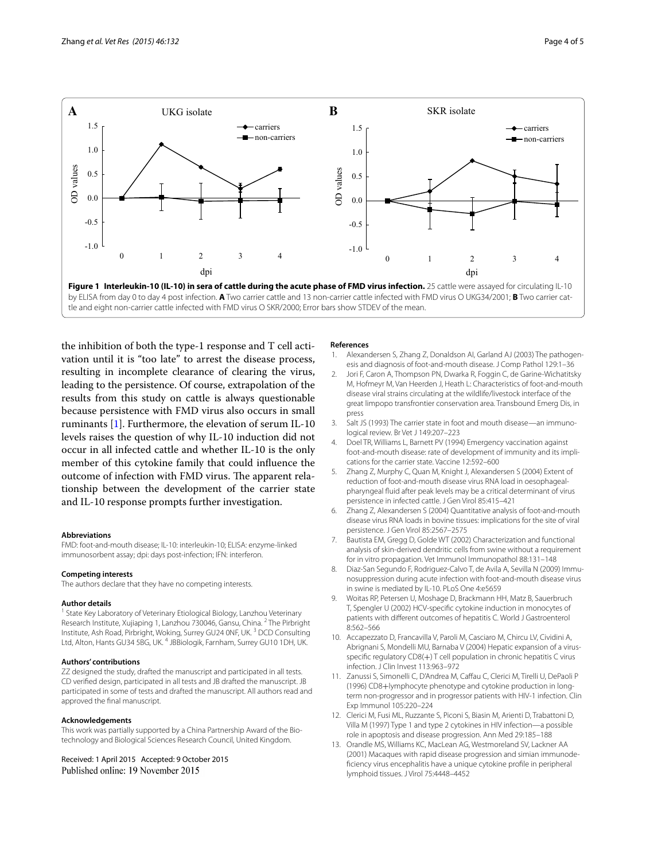

<span id="page-3-12"></span>the inhibition of both the type-1 response and T cell activation until it is "too late" to arrest the disease process, resulting in incomplete clearance of clearing the virus, leading to the persistence. Of course, extrapolation of the results from this study on cattle is always questionable because persistence with FMD virus also occurs in small ruminants [[1\]](#page-3-0). Furthermore, the elevation of serum IL-10 levels raises the question of why IL-10 induction did not occur in all infected cattle and whether IL-10 is the only member of this cytokine family that could influence the outcome of infection with FMD virus. The apparent relationship between the development of the carrier state and IL-10 response prompts further investigation.

#### **Abbreviations**

FMD: foot-and-mouth disease; IL-10: interleukin-10; ELISA: enzyme-linked immunosorbent assay; dpi: days post-infection; IFN: interferon.

#### **Competing interests**

The authors declare that they have no competing interests.

#### **Author details**

<sup>1</sup> State Key Laboratory of Veterinary Etiological Biology, Lanzhou Veterinary Research Institute, Xujiaping 1, Lanzhou 730046, Gansu, China. <sup>2</sup> The Pirbright Institute, Ash Road, Pirbright, Woking, Surrey GU24 0NF, UK. 3 DCD Consulting Ltd, Alton, Hants GU34 5BG, UK.<sup>4</sup> JBBiologik, Farnham, Surrey GU10 1DH, UK.

#### **Authors' contributions**

ZZ designed the study, drafted the manuscript and participated in all tests. CD verified design, participated in all tests and JB drafted the manuscript. JB participated in some of tests and drafted the manuscript. All authors read and approved the final manuscript.

#### **Acknowledgements**

This work was partially supported by a China Partnership Award of the Biotechnology and Biological Sciences Research Council, United Kingdom.

Received: 1 April 2015 Accepted: 9 October 2015 Published online: 19 November 2015

#### **References**

- <span id="page-3-0"></span>Alexandersen S, Zhang Z, Donaldson AI, Garland AJ (2003) The pathogenesis and diagnosis of foot-and-mouth disease. J Comp Pathol 129:1–36
- <span id="page-3-1"></span>2. Jori F, Caron A, Thompson PN, Dwarka R, Foggin C, de Garine-Wichatitsky M, Hofmeyr M, Van Heerden J, Heath L: Characteristics of foot-and-mouth disease viral strains circulating at the wildlife/livestock interface of the great limpopo transfrontier conservation area. Transbound Emerg Dis, in press
- <span id="page-3-2"></span>3. Salt JS (1993) The carrier state in foot and mouth disease—an immunological review. Br Vet J 149:207–223
- <span id="page-3-3"></span>4. Doel TR, Williams L, Barnett PV (1994) Emergency vaccination against foot-and-mouth disease: rate of development of immunity and its implications for the carrier state. Vaccine 12:592–600
- <span id="page-3-4"></span>5. Zhang Z, Murphy C, Quan M, Knight J, Alexandersen S (2004) Extent of reduction of foot-and-mouth disease virus RNA load in oesophagealpharyngeal fluid after peak levels may be a critical determinant of virus persistence in infected cattle. J Gen Virol 85:415–421
- <span id="page-3-5"></span>6. Zhang Z, Alexandersen S (2004) Quantitative analysis of foot-and-mouth disease virus RNA loads in bovine tissues: implications for the site of viral persistence. J Gen Virol 85:2567–2575
- <span id="page-3-6"></span>7. Bautista EM, Gregg D, Golde WT (2002) Characterization and functional analysis of skin-derived dendritic cells from swine without a requirement for in vitro propagation. Vet Immunol Immunopathol 88:131–148
- <span id="page-3-7"></span>8. Diaz-San Segundo F, Rodriguez-Calvo T, de Avila A, Sevilla N (2009) Immunosuppression during acute infection with foot-and-mouth disease virus in swine is mediated by IL-10. PLoS One 4:e5659
- <span id="page-3-8"></span>9. Woitas RP, Petersen U, Moshage D, Brackmann HH, Matz B, Sauerbruch T, Spengler U (2002) HCV-specific cytokine induction in monocytes of patients with different outcomes of hepatitis C. World J Gastroenterol 8:562–566
- <span id="page-3-9"></span>10. Accapezzato D, Francavilla V, Paroli M, Casciaro M, Chircu LV, Cividini A, Abrignani S, Mondelli MU, Barnaba V (2004) Hepatic expansion of a virusspecific regulatory CD8(+) T cell population in chronic hepatitis C virus infection. J Clin Invest 113:963–972
- <span id="page-3-10"></span>11. Zanussi S, Simonelli C, D'Andrea M, Caffau C, Clerici M, Tirelli U, DePaoli P (1996) CD8+lymphocyte phenotype and cytokine production in longterm non-progressor and in progressor patients with HIV-1 infection. Clin Exp Immunol 105:220–224
- 12. Clerici M, Fusi ML, Ruzzante S, Piconi S, Biasin M, Arienti D, Trabattoni D, Villa M (1997) Type 1 and type 2 cytokines in HIV infection—a possible role in apoptosis and disease progression. Ann Med 29:185–188
- <span id="page-3-11"></span>13. Orandle MS, Williams KC, MacLean AG, Westmoreland SV, Lackner AA (2001) Macaques with rapid disease progression and simian immunodeficiency virus encephalitis have a unique cytokine profile in peripheral lymphoid tissues. J Virol 75:4448–4452